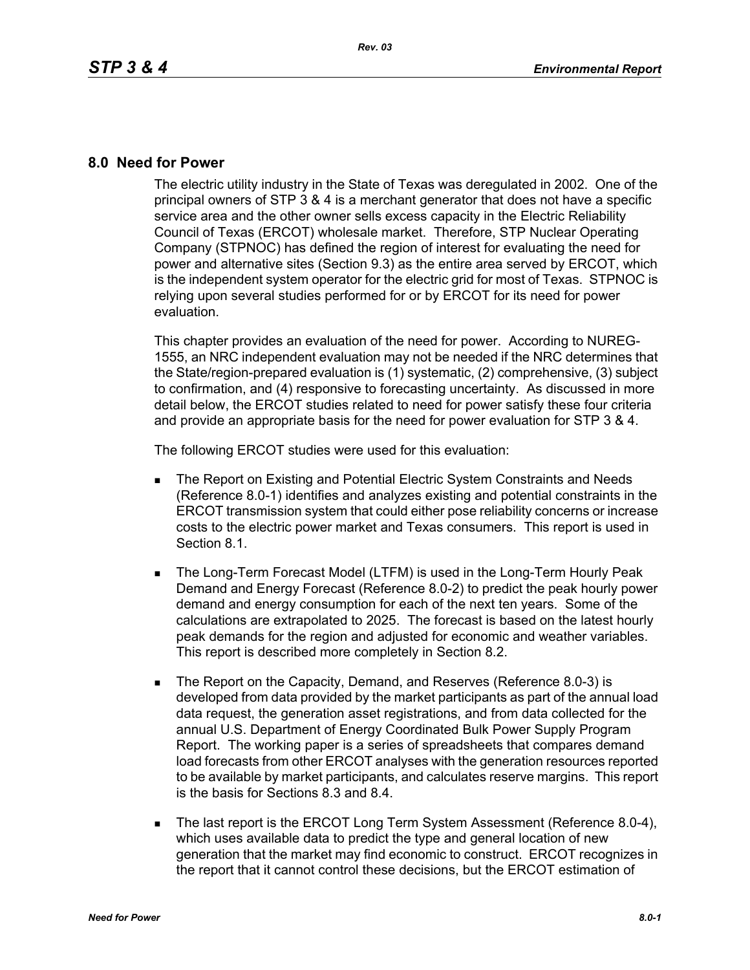## **8.0 Need for Power**

The electric utility industry in the State of Texas was deregulated in 2002. One of the principal owners of STP 3 & 4 is a merchant generator that does not have a specific service area and the other owner sells excess capacity in the Electric Reliability Council of Texas (ERCOT) wholesale market. Therefore, STP Nuclear Operating Company (STPNOC) has defined the region of interest for evaluating the need for power and alternative sites (Section 9.3) as the entire area served by ERCOT, which is the independent system operator for the electric grid for most of Texas. STPNOC is relying upon several studies performed for or by ERCOT for its need for power evaluation.

This chapter provides an evaluation of the need for power. According to NUREG-1555, an NRC independent evaluation may not be needed if the NRC determines that the State/region-prepared evaluation is (1) systematic, (2) comprehensive, (3) subject to confirmation, and (4) responsive to forecasting uncertainty. As discussed in more detail below, the ERCOT studies related to need for power satisfy these four criteria and provide an appropriate basis for the need for power evaluation for STP 3 & 4.

The following ERCOT studies were used for this evaluation:

- **The Report on Existing and Potential Electric System Constraints and Needs** (Reference 8.0-1) identifies and analyzes existing and potential constraints in the ERCOT transmission system that could either pose reliability concerns or increase costs to the electric power market and Texas consumers. This report is used in Section 8.1.
- **The Long-Term Forecast Model (LTFM) is used in the Long-Term Hourly Peak** Demand and Energy Forecast (Reference 8.0-2) to predict the peak hourly power demand and energy consumption for each of the next ten years. Some of the calculations are extrapolated to 2025. The forecast is based on the latest hourly peak demands for the region and adjusted for economic and weather variables. This report is described more completely in Section 8.2.
- The Report on the Capacity, Demand, and Reserves (Reference 8.0-3) is developed from data provided by the market participants as part of the annual load data request, the generation asset registrations, and from data collected for the annual U.S. Department of Energy Coordinated Bulk Power Supply Program Report. The working paper is a series of spreadsheets that compares demand load forecasts from other ERCOT analyses with the generation resources reported to be available by market participants, and calculates reserve margins. This report is the basis for Sections 8.3 and 8.4.
- The last report is the ERCOT Long Term System Assessment (Reference 8.0-4), which uses available data to predict the type and general location of new generation that the market may find economic to construct. ERCOT recognizes in the report that it cannot control these decisions, but the ERCOT estimation of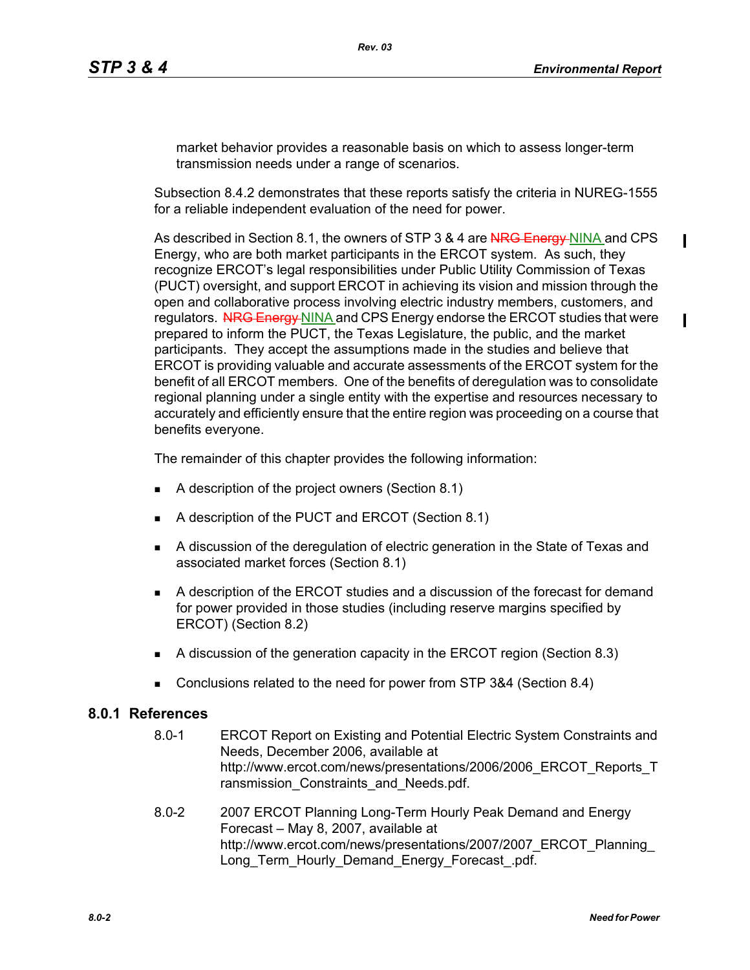$\blacksquare$ 

П

market behavior provides a reasonable basis on which to assess longer-term transmission needs under a range of scenarios.

Subsection 8.4.2 demonstrates that these reports satisfy the criteria in NUREG-1555 for a reliable independent evaluation of the need for power.

As described in Section 8.1, the owners of STP 3 & 4 are NRG Energy NINA and CPS Energy, who are both market participants in the ERCOT system. As such, they recognize ERCOT's legal responsibilities under Public Utility Commission of Texas (PUCT) oversight, and support ERCOT in achieving its vision and mission through the open and collaborative process involving electric industry members, customers, and regulators. NRG Energy NINA and CPS Energy endorse the ERCOT studies that were prepared to inform the PUCT, the Texas Legislature, the public, and the market participants. They accept the assumptions made in the studies and believe that ERCOT is providing valuable and accurate assessments of the ERCOT system for the benefit of all ERCOT members. One of the benefits of deregulation was to consolidate regional planning under a single entity with the expertise and resources necessary to accurately and efficiently ensure that the entire region was proceeding on a course that benefits everyone.

The remainder of this chapter provides the following information:

- A description of the project owners (Section 8.1)
- A description of the PUCT and ERCOT (Section 8.1)
- A discussion of the deregulation of electric generation in the State of Texas and associated market forces (Section 8.1)
- A description of the ERCOT studies and a discussion of the forecast for demand for power provided in those studies (including reserve margins specified by ERCOT) (Section 8.2)
- A discussion of the generation capacity in the ERCOT region (Section 8.3)
- Conclusions related to the need for power from STP 3&4 (Section 8.4)

## **8.0.1 References**

- 8.0-1 ERCOT Report on Existing and Potential Electric System Constraints and Needs, December 2006, available at http://www.ercot.com/news/presentations/2006/2006\_ERCOT\_Reports\_T ransmission Constraints and Needs.pdf.
- 8.0-2 [2007 ERCOT Planning Long-Term Hourly Peak Demand and Energy](http://www.ercot.com/news/presentations/2007/2007_ERCOT_Planning_Long_Term_Hourly_Demand_Energy_Forecast_.pdf)  Forecast – May 8, 2007, available at [http://www.ercot.com/news/presentations/2007/2007\\_ERCOT\\_Planning\\_](http://www.ercot.com/news/presentations/2007/2007_ERCOT_Planning_Long_Term_Hourly_Demand_Energy_Forecast_.pdf) [Long\\_Term\\_Hourly\\_Demand\\_Energy\\_Forecast\\_.pdf.](http://www.ercot.com/news/presentations/2007/2007_ERCOT_Planning_Long_Term_Hourly_Demand_Energy_Forecast_.pdf)